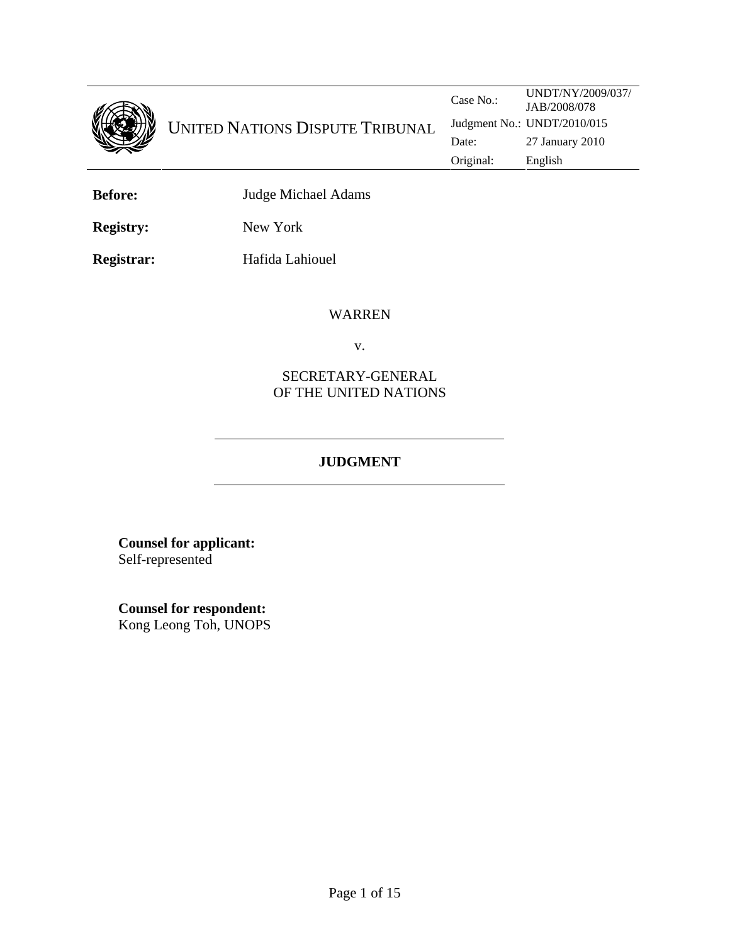

| <b>Before:</b> | Judge Michael Adams |
|----------------|---------------------|
|                |                     |

**Registry:** New York

**Registrar:** Hafida Lahiouel

#### WARREN

v.

# SECRETARY-GENERAL OF THE UNITED NATIONS

# **JUDGMENT**

**Counsel for applicant:**  Self-represented

**Counsel for respondent:** Kong Leong Toh, UNOPS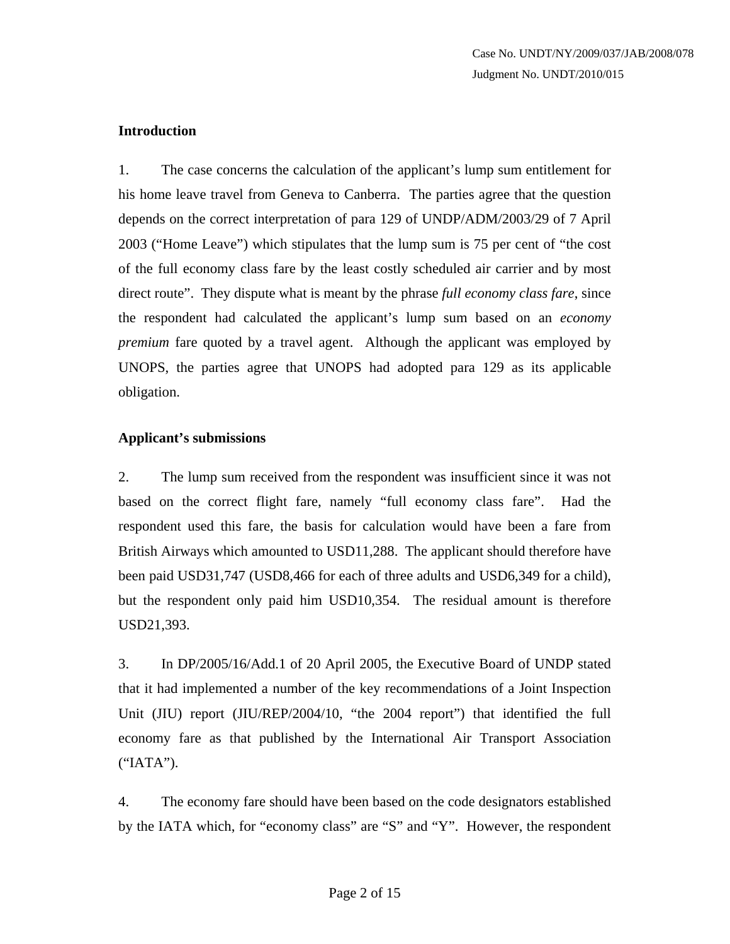### **Introduction**

1. The case concerns the calculation of the applicant's lump sum entitlement for his home leave travel from Geneva to Canberra. The parties agree that the question depends on the correct interpretation of para 129 of UNDP/ADM/2003/29 of 7 April 2003 ("Home Leave") which stipulates that the lump sum is 75 per cent of "the cost of the full economy class fare by the least costly scheduled air carrier and by most direct route". They dispute what is meant by the phrase *full economy class fare*, since the respondent had calculated the applicant's lump sum based on an *economy premium* fare quoted by a travel agent. Although the applicant was employed by UNOPS, the parties agree that UNOPS had adopted para 129 as its applicable obligation.

### **Applicant's submissions**

2. The lump sum received from the respondent was insufficient since it was not based on the correct flight fare, namely "full economy class fare". Had the respondent used this fare, the basis for calculation would have been a fare from British Airways which amounted to USD11,288. The applicant should therefore have been paid USD31,747 (USD8,466 for each of three adults and USD6,349 for a child), but the respondent only paid him USD10,354. The residual amount is therefore USD21,393.

3. In DP/2005/16/Add.1 of 20 April 2005, the Executive Board of UNDP stated that it had implemented a number of the key recommendations of a Joint Inspection Unit (JIU) report (JIU/REP/2004/10, "the 2004 report") that identified the full economy fare as that published by the International Air Transport Association ("IATA").

4. The economy fare should have been based on the code designators established by the IATA which, for "economy class" are "S" and "Y". However, the respondent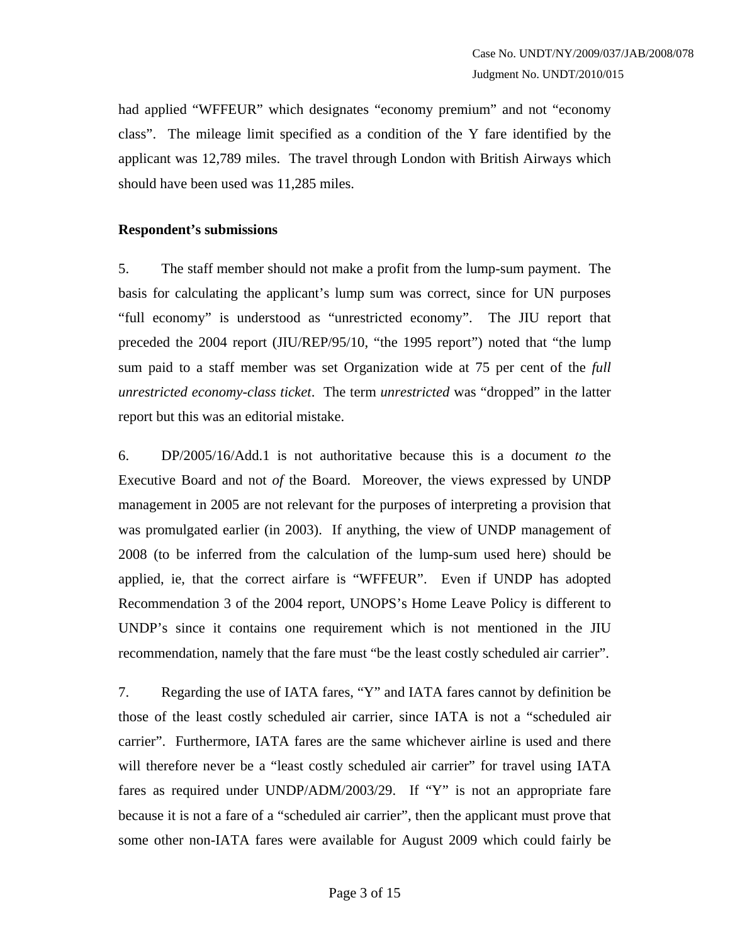had applied "WFFEUR" which designates "economy premium" and not "economy class". The mileage limit specified as a condition of the Y fare identified by the applicant was 12,789 miles. The travel through London with British Airways which should have been used was 11,285 miles.

### **Respondent's submissions**

5. The staff member should not make a profit from the lump-sum payment. The basis for calculating the applicant's lump sum was correct, since for UN purposes "full economy" is understood as "unrestricted economy". The JIU report that preceded the 2004 report (JIU/REP/95/10, "the 1995 report") noted that "the lump sum paid to a staff member was set Organization wide at 75 per cent of the *full unrestricted economy-class ticket*. The term *unrestricted* was "dropped" in the latter report but this was an editorial mistake.

6. DP/2005/16/Add.1 is not authoritative because this is a document *to* the Executive Board and not *of* the Board. Moreover, the views expressed by UNDP management in 2005 are not relevant for the purposes of interpreting a provision that was promulgated earlier (in 2003). If anything, the view of UNDP management of 2008 (to be inferred from the calculation of the lump-sum used here) should be applied, ie, that the correct airfare is "WFFEUR". Even if UNDP has adopted Recommendation 3 of the 2004 report, UNOPS's Home Leave Policy is different to UNDP's since it contains one requirement which is not mentioned in the JIU recommendation, namely that the fare must "be the least costly scheduled air carrier".

7. Regarding the use of IATA fares, "Y" and IATA fares cannot by definition be those of the least costly scheduled air carrier, since IATA is not a "scheduled air carrier". Furthermore, IATA fares are the same whichever airline is used and there will therefore never be a "least costly scheduled air carrier" for travel using IATA fares as required under UNDP/ADM/2003/29. If "Y" is not an appropriate fare because it is not a fare of a "scheduled air carrier", then the applicant must prove that some other non-IATA fares were available for August 2009 which could fairly be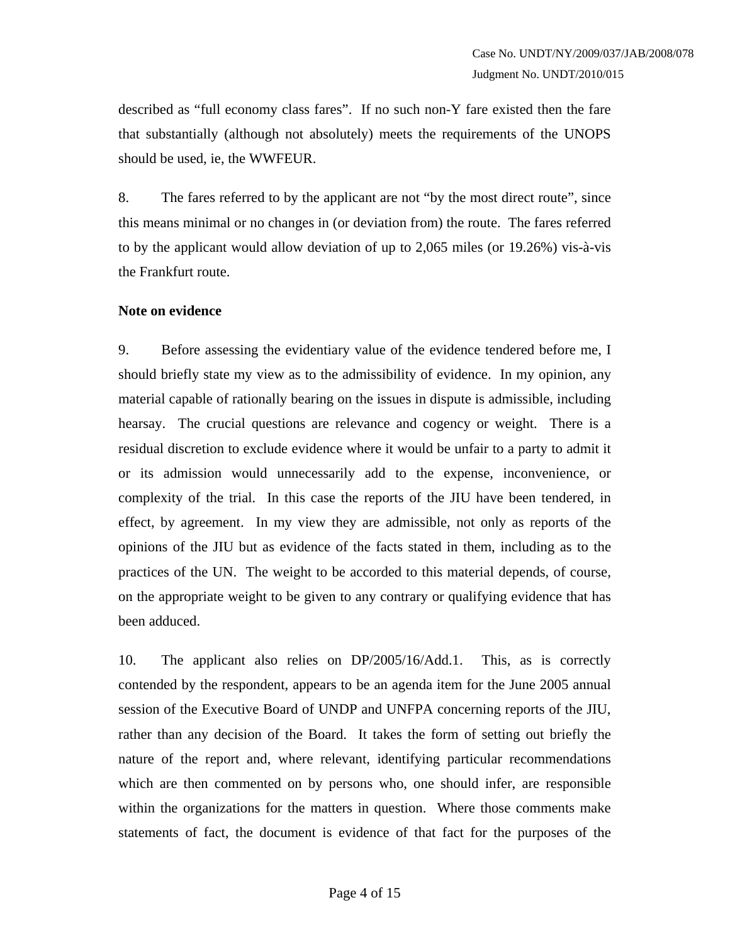described as "full economy class fares". If no such non-Y fare existed then the fare that substantially (although not absolutely) meets the requirements of the UNOPS should be used, ie, the WWFEUR.

8. The fares referred to by the applicant are not "by the most direct route", since this means minimal or no changes in (or deviation from) the route. The fares referred to by the applicant would allow deviation of up to 2,065 miles (or 19.26%) vis-à-vis the Frankfurt route.

#### **Note on evidence**

9. Before assessing the evidentiary value of the evidence tendered before me, I should briefly state my view as to the admissibility of evidence. In my opinion, any material capable of rationally bearing on the issues in dispute is admissible, including hearsay. The crucial questions are relevance and cogency or weight. There is a residual discretion to exclude evidence where it would be unfair to a party to admit it or its admission would unnecessarily add to the expense, inconvenience, or complexity of the trial. In this case the reports of the JIU have been tendered, in effect, by agreement. In my view they are admissible, not only as reports of the opinions of the JIU but as evidence of the facts stated in them, including as to the practices of the UN. The weight to be accorded to this material depends, of course, on the appropriate weight to be given to any contrary or qualifying evidence that has been adduced.

10. The applicant also relies on DP/2005/16/Add.1. This, as is correctly contended by the respondent, appears to be an agenda item for the June 2005 annual session of the Executive Board of UNDP and UNFPA concerning reports of the JIU, rather than any decision of the Board. It takes the form of setting out briefly the nature of the report and, where relevant, identifying particular recommendations which are then commented on by persons who, one should infer, are responsible within the organizations for the matters in question. Where those comments make statements of fact, the document is evidence of that fact for the purposes of the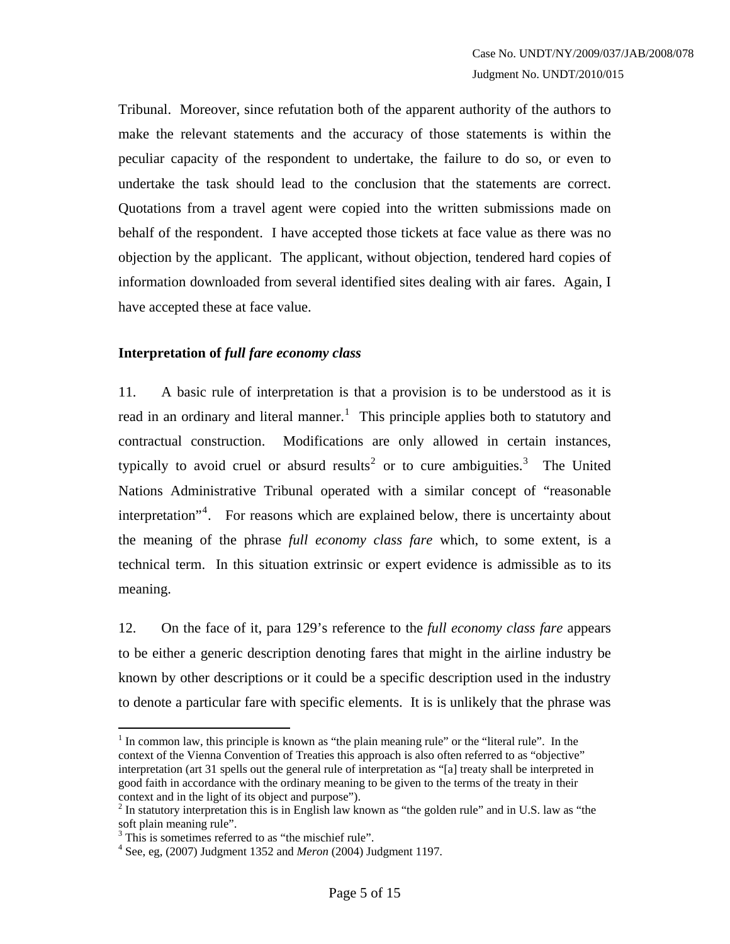Tribunal. Moreover, since refutation both of the apparent authority of the authors to make the relevant statements and the accuracy of those statements is within the peculiar capacity of the respondent to undertake, the failure to do so, or even to undertake the task should lead to the conclusion that the statements are correct. Quotations from a travel agent were copied into the written submissions made on behalf of the respondent. I have accepted those tickets at face value as there was no objection by the applicant. The applicant, without objection, tendered hard copies of information downloaded from several identified sites dealing with air fares. Again, I have accepted these at face value.

#### **Interpretation of** *full fare economy class*

11. A basic rule of interpretation is that a provision is to be understood as it is read in an ordinary and literal manner.<sup>[1](#page-4-0)</sup> This principle applies both to statutory and contractual construction. Modifications are only allowed in certain instances, typically to avoid cruel or absurd results<sup>[2](#page-4-1)</sup> or to cure ambiguities.<sup>[3](#page-4-2)</sup> The United Nations Administrative Tribunal operated with a similar concept of "reasonable interpretation<sup>"[4](#page-4-3)</sup>. For reasons which are explained below, there is uncertainty about the meaning of the phrase *full economy class fare* which, to some extent, is a technical term. In this situation extrinsic or expert evidence is admissible as to its meaning.

12. On the face of it, para 129's reference to the *full economy class fare* appears to be either a generic description denoting fares that might in the airline industry be known by other descriptions or it could be a specific description used in the industry to denote a particular fare with specific elements. It is is unlikely that the phrase was

1

<span id="page-4-0"></span> $<sup>1</sup>$  In common law, this principle is known as "the plain meaning rule" or the "literal rule". In the</sup> context of the Vienna Convention of Treaties this approach is also often referred to as "objective" interpretation (art 31 spells out the general rule of interpretation as "[a] treaty shall be interpreted in good faith in accordance with the ordinary meaning to be given to the terms of the treaty in their context and in the light of its object and purpose").

<span id="page-4-1"></span> $2$  In statutory interpretation this is in English law known as "the golden rule" and in U.S. law as "the soft plain meaning rule".

<span id="page-4-3"></span><span id="page-4-2"></span><sup>&</sup>lt;sup>3</sup> This is sometimes referred to as "the mischief rule".

<sup>4</sup> See, eg, (2007) Judgment 1352 and *Meron* (2004) Judgment 1197.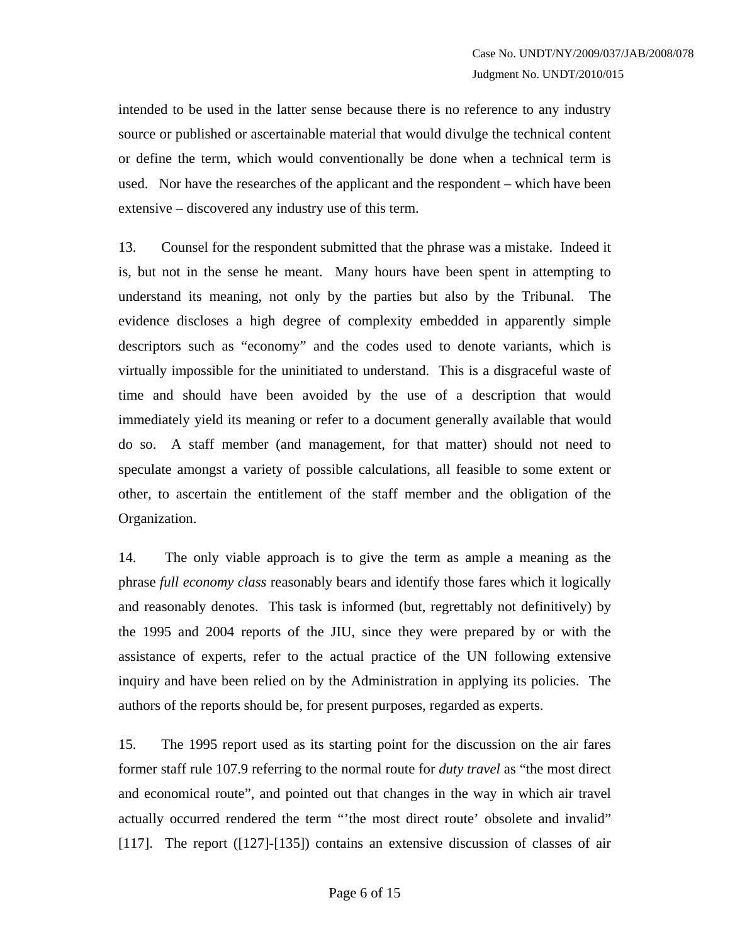intended to be used in the latter sense because there is no reference to any industry source or published or ascertainable material that would divulge the technical content or define the term, which would conventionally be done when a technical term is used. Nor have the researches of the applicant and the respondent – which have been extensive – discovered any industry use of this term.

13. Counsel for the respondent submitted that the phrase was a mistake. Indeed it is, but not in the sense he meant. Many hours have been spent in attempting to understand its meaning, not only by the parties but also by the Tribunal. The evidence discloses a high degree of complexity embedded in apparently simple descriptors such as "economy" and the codes used to denote variants, which is virtually impossible for the uninitiated to understand. This is a disgraceful waste of time and should have been avoided by the use of a description that would immediately yield its meaning or refer to a document generally available that would do so. A staff member (and management, for that matter) should not need to speculate amongst a variety of possible calculations, all feasible to some extent or other, to ascertain the entitlement of the staff member and the obligation of the Organization.

14. The only viable approach is to give the term as ample a meaning as the phrase *full economy class* reasonably bears and identify those fares which it logically and reasonably denotes. This task is informed (but, regrettably not definitively) by the 1995 and 2004 reports of the JIU, since they were prepared by or with the assistance of experts, refer to the actual practice of the UN following extensive inquiry and have been relied on by the Administration in applying its policies. The authors of the reports should be, for present purposes, regarded as experts.

15. The 1995 report used as its starting point for the discussion on the air fares former staff rule 107.9 referring to the normal route for *duty travel* as "the most direct and economical route", and pointed out that changes in the way in which air travel actually occurred rendered the term "'the most direct route' obsolete and invalid" [117]. The report ([127]-[135]) contains an extensive discussion of classes of air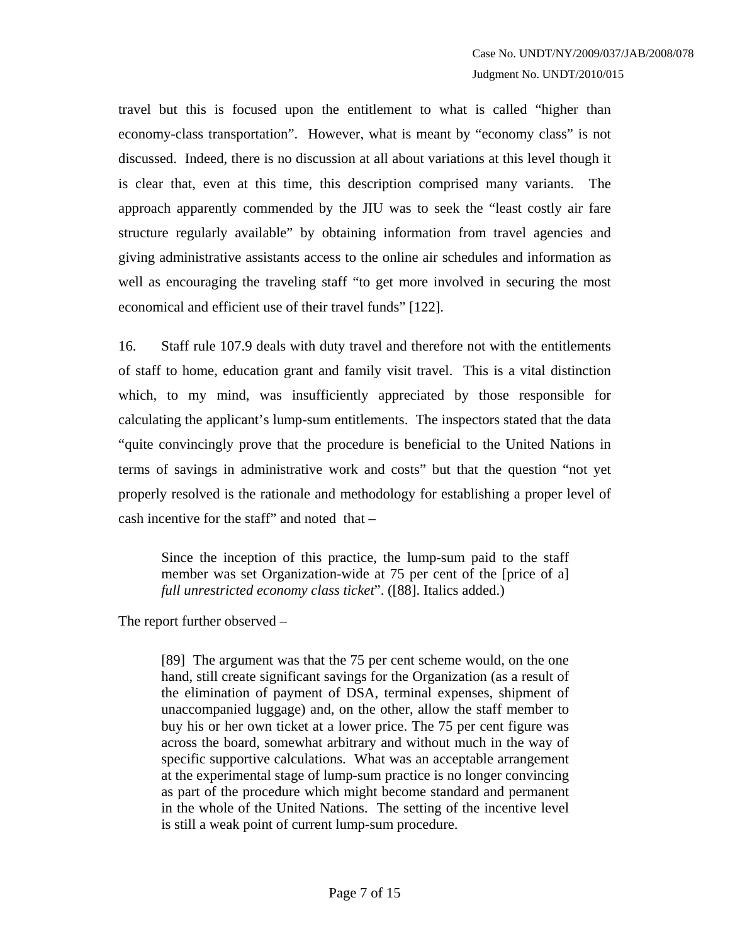travel but this is focused upon the entitlement to what is called "higher than economy-class transportation". However, what is meant by "economy class" is not discussed. Indeed, there is no discussion at all about variations at this level though it is clear that, even at this time, this description comprised many variants. The approach apparently commended by the JIU was to seek the "least costly air fare structure regularly available" by obtaining information from travel agencies and giving administrative assistants access to the online air schedules and information as well as encouraging the traveling staff "to get more involved in securing the most economical and efficient use of their travel funds" [122].

16. Staff rule 107.9 deals with duty travel and therefore not with the entitlements of staff to home, education grant and family visit travel. This is a vital distinction which, to my mind, was insufficiently appreciated by those responsible for calculating the applicant's lump-sum entitlements. The inspectors stated that the data "quite convincingly prove that the procedure is beneficial to the United Nations in terms of savings in administrative work and costs" but that the question "not yet properly resolved is the rationale and methodology for establishing a proper level of cash incentive for the staff" and noted that –

Since the inception of this practice, the lump-sum paid to the staff member was set Organization-wide at 75 per cent of the [price of a] *full unrestricted economy class ticket*". ([88]. Italics added.)

The report further observed –

[89] The argument was that the 75 per cent scheme would, on the one hand, still create significant savings for the Organization (as a result of the elimination of payment of DSA, terminal expenses, shipment of unaccompanied luggage) and, on the other, allow the staff member to buy his or her own ticket at a lower price. The 75 per cent figure was across the board, somewhat arbitrary and without much in the way of specific supportive calculations. What was an acceptable arrangement at the experimental stage of lump-sum practice is no longer convincing as part of the procedure which might become standard and permanent in the whole of the United Nations. The setting of the incentive level is still a weak point of current lump-sum procedure.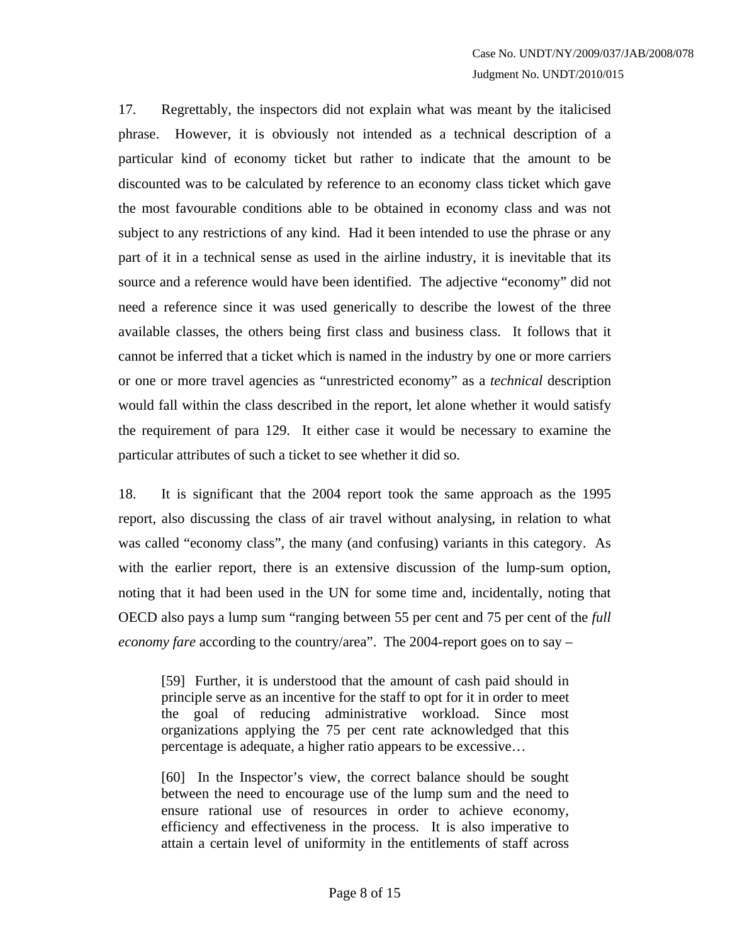17. Regrettably, the inspectors did not explain what was meant by the italicised phrase. However, it is obviously not intended as a technical description of a particular kind of economy ticket but rather to indicate that the amount to be discounted was to be calculated by reference to an economy class ticket which gave the most favourable conditions able to be obtained in economy class and was not subject to any restrictions of any kind. Had it been intended to use the phrase or any part of it in a technical sense as used in the airline industry, it is inevitable that its source and a reference would have been identified. The adjective "economy" did not need a reference since it was used generically to describe the lowest of the three available classes, the others being first class and business class. It follows that it cannot be inferred that a ticket which is named in the industry by one or more carriers or one or more travel agencies as "unrestricted economy" as a *technical* description would fall within the class described in the report, let alone whether it would satisfy the requirement of para 129. It either case it would be necessary to examine the particular attributes of such a ticket to see whether it did so.

18. It is significant that the 2004 report took the same approach as the 1995 report, also discussing the class of air travel without analysing, in relation to what was called "economy class", the many (and confusing) variants in this category. As with the earlier report, there is an extensive discussion of the lump-sum option, noting that it had been used in the UN for some time and, incidentally, noting that OECD also pays a lump sum "ranging between 55 per cent and 75 per cent of the *full economy fare* according to the country/area". The 2004-report goes on to say –

[59] Further, it is understood that the amount of cash paid should in principle serve as an incentive for the staff to opt for it in order to meet the goal of reducing administrative workload. Since most organizations applying the 75 per cent rate acknowledged that this percentage is adequate, a higher ratio appears to be excessive…

[60] In the Inspector's view, the correct balance should be sought between the need to encourage use of the lump sum and the need to ensure rational use of resources in order to achieve economy, efficiency and effectiveness in the process. It is also imperative to attain a certain level of uniformity in the entitlements of staff across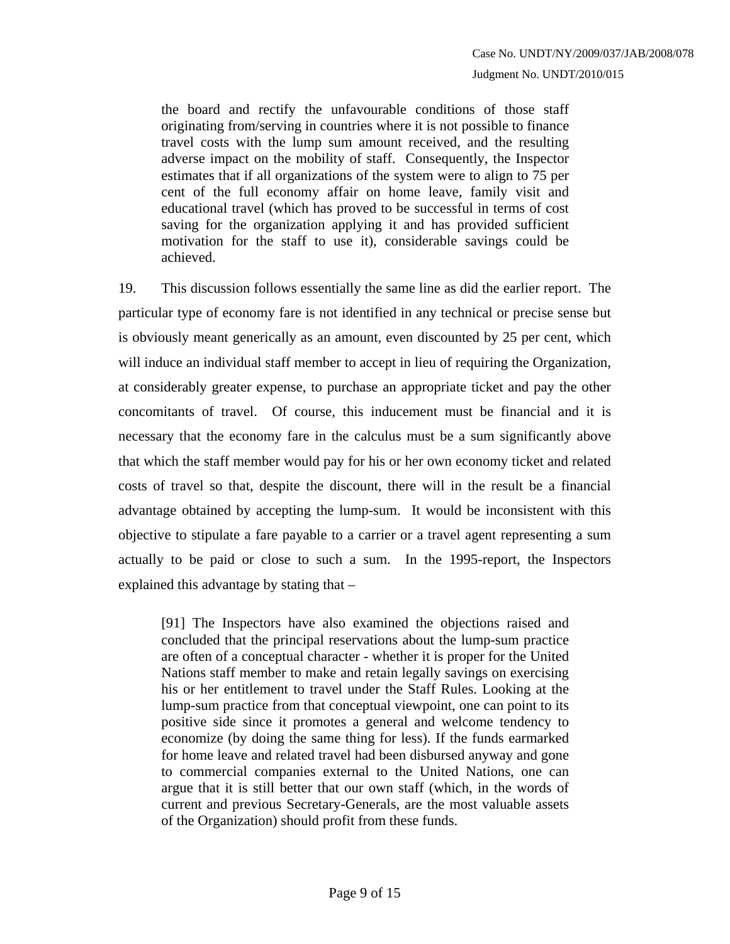the board and rectify the unfavourable conditions of those staff originating from/serving in countries where it is not possible to finance travel costs with the lump sum amount received, and the resulting adverse impact on the mobility of staff. Consequently, the Inspector estimates that if all organizations of the system were to align to 75 per cent of the full economy affair on home leave, family visit and educational travel (which has proved to be successful in terms of cost saving for the organization applying it and has provided sufficient motivation for the staff to use it), considerable savings could be achieved.

19. This discussion follows essentially the same line as did the earlier report. The particular type of economy fare is not identified in any technical or precise sense but is obviously meant generically as an amount, even discounted by 25 per cent, which will induce an individual staff member to accept in lieu of requiring the Organization, at considerably greater expense, to purchase an appropriate ticket and pay the other concomitants of travel. Of course, this inducement must be financial and it is necessary that the economy fare in the calculus must be a sum significantly above that which the staff member would pay for his or her own economy ticket and related costs of travel so that, despite the discount, there will in the result be a financial advantage obtained by accepting the lump-sum. It would be inconsistent with this objective to stipulate a fare payable to a carrier or a travel agent representing a sum actually to be paid or close to such a sum. In the 1995-report, the Inspectors explained this advantage by stating that –

[91] The Inspectors have also examined the objections raised and concluded that the principal reservations about the lump-sum practice are often of a conceptual character - whether it is proper for the United Nations staff member to make and retain legally savings on exercising his or her entitlement to travel under the Staff Rules. Looking at the lump-sum practice from that conceptual viewpoint, one can point to its positive side since it promotes a general and welcome tendency to economize (by doing the same thing for less). If the funds earmarked for home leave and related travel had been disbursed anyway and gone to commercial companies external to the United Nations, one can argue that it is still better that our own staff (which, in the words of current and previous Secretary-Generals, are the most valuable assets of the Organization) should profit from these funds.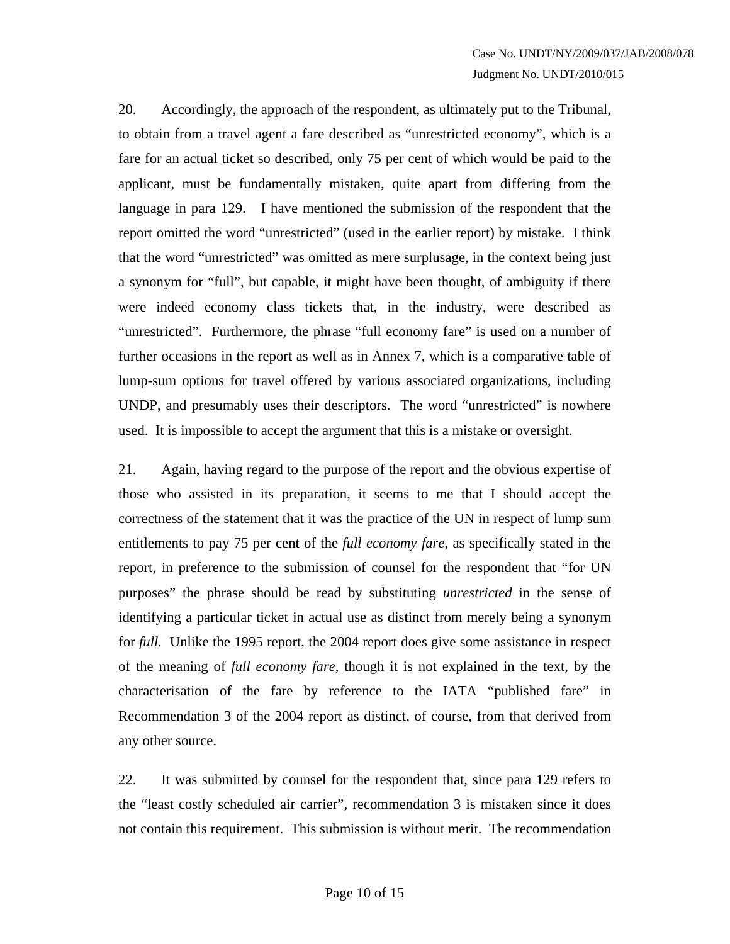20. Accordingly, the approach of the respondent, as ultimately put to the Tribunal, to obtain from a travel agent a fare described as "unrestricted economy", which is a fare for an actual ticket so described, only 75 per cent of which would be paid to the applicant, must be fundamentally mistaken, quite apart from differing from the language in para 129. I have mentioned the submission of the respondent that the report omitted the word "unrestricted" (used in the earlier report) by mistake. I think that the word "unrestricted" was omitted as mere surplusage, in the context being just a synonym for "full", but capable, it might have been thought, of ambiguity if there were indeed economy class tickets that, in the industry, were described as "unrestricted". Furthermore, the phrase "full economy fare" is used on a number of further occasions in the report as well as in Annex 7, which is a comparative table of lump-sum options for travel offered by various associated organizations, including UNDP, and presumably uses their descriptors. The word "unrestricted" is nowhere used. It is impossible to accept the argument that this is a mistake or oversight.

21. Again, having regard to the purpose of the report and the obvious expertise of those who assisted in its preparation, it seems to me that I should accept the correctness of the statement that it was the practice of the UN in respect of lump sum entitlements to pay 75 per cent of the *full economy fare*, as specifically stated in the report, in preference to the submission of counsel for the respondent that "for UN purposes" the phrase should be read by substituting *unrestricted* in the sense of identifying a particular ticket in actual use as distinct from merely being a synonym for *full*. Unlike the 1995 report, the 2004 report does give some assistance in respect of the meaning of *full economy fare*, though it is not explained in the text, by the characterisation of the fare by reference to the IATA "published fare" in Recommendation 3 of the 2004 report as distinct, of course, from that derived from any other source.

22. It was submitted by counsel for the respondent that, since para 129 refers to the "least costly scheduled air carrier", recommendation 3 is mistaken since it does not contain this requirement. This submission is without merit. The recommendation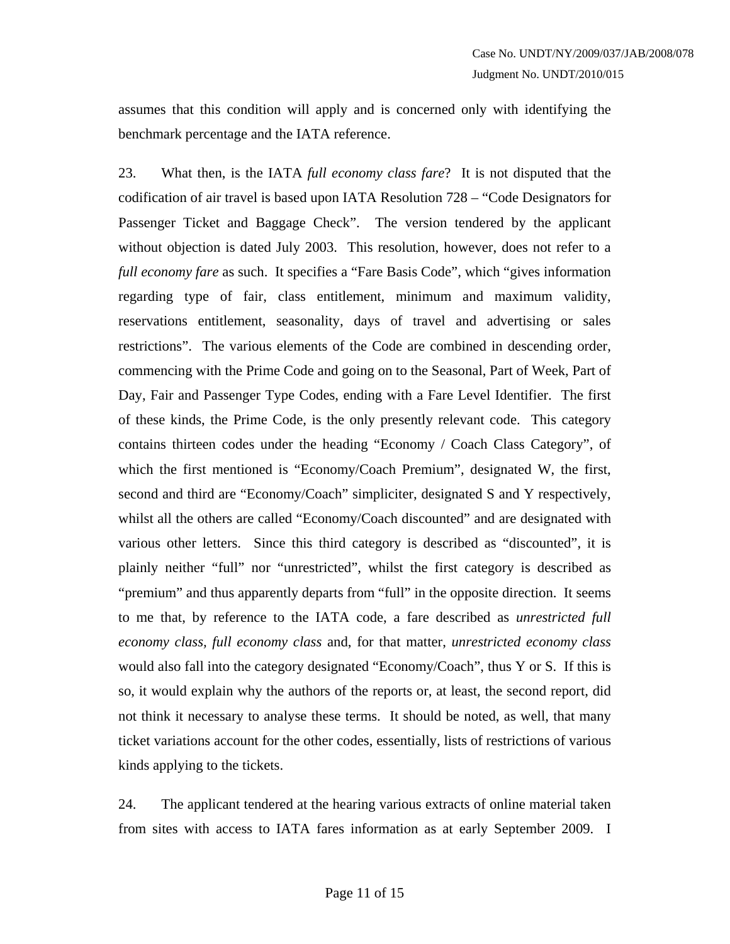assumes that this condition will apply and is concerned only with identifying the benchmark percentage and the IATA reference.

23. What then, is the IATA *full economy class fare*? It is not disputed that the codification of air travel is based upon IATA Resolution 728 – "Code Designators for Passenger Ticket and Baggage Check". The version tendered by the applicant without objection is dated July 2003. This resolution, however, does not refer to a *full economy fare* as such. It specifies a "Fare Basis Code", which "gives information regarding type of fair, class entitlement, minimum and maximum validity, reservations entitlement, seasonality, days of travel and advertising or sales restrictions". The various elements of the Code are combined in descending order, commencing with the Prime Code and going on to the Seasonal, Part of Week, Part of Day, Fair and Passenger Type Codes, ending with a Fare Level Identifier. The first of these kinds, the Prime Code, is the only presently relevant code. This category contains thirteen codes under the heading "Economy / Coach Class Category", of which the first mentioned is "Economy/Coach Premium", designated W, the first, second and third are "Economy/Coach" simpliciter, designated S and Y respectively, whilst all the others are called "Economy/Coach discounted" and are designated with various other letters. Since this third category is described as "discounted", it is plainly neither "full" nor "unrestricted", whilst the first category is described as "premium" and thus apparently departs from "full" in the opposite direction. It seems to me that, by reference to the IATA code, a fare described as *unrestricted full economy class, full economy class* and, for that matter, *unrestricted economy class* would also fall into the category designated "Economy/Coach", thus Y or S. If this is so, it would explain why the authors of the reports or, at least, the second report, did not think it necessary to analyse these terms. It should be noted, as well, that many ticket variations account for the other codes, essentially, lists of restrictions of various kinds applying to the tickets.

24. The applicant tendered at the hearing various extracts of online material taken from sites with access to IATA fares information as at early September 2009. I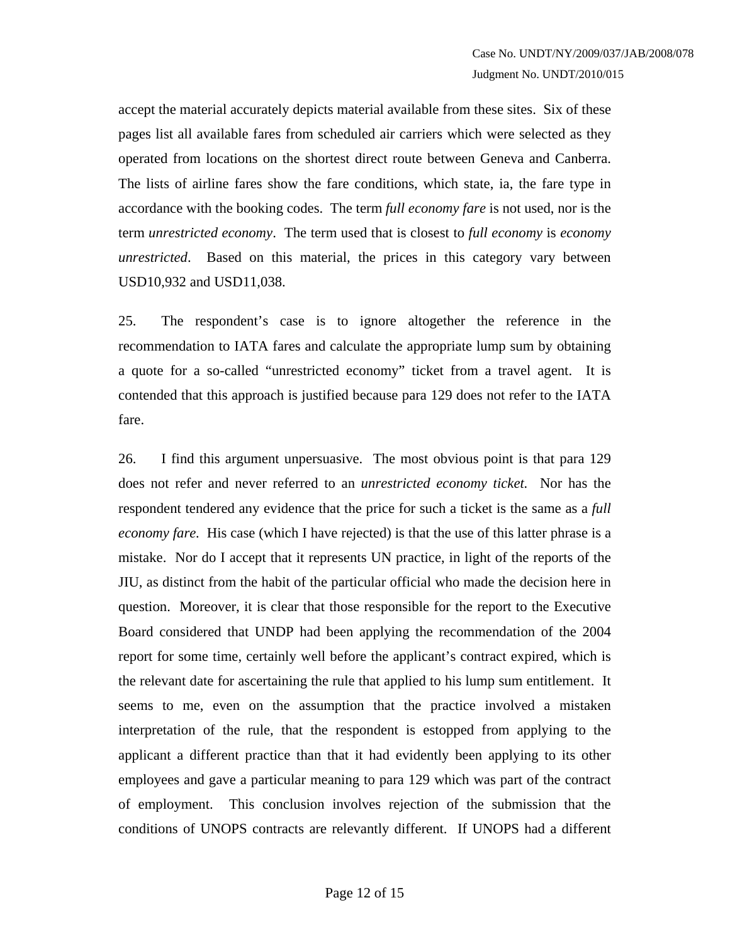accept the material accurately depicts material available from these sites. Six of these pages list all available fares from scheduled air carriers which were selected as they operated from locations on the shortest direct route between Geneva and Canberra. The lists of airline fares show the fare conditions, which state, ia, the fare type in accordance with the booking codes. The term *full economy fare* is not used, nor is the term *unrestricted economy*. The term used that is closest to *full economy* is *economy unrestricted*. Based on this material, the prices in this category vary between USD10,932 and USD11,038.

25. The respondent's case is to ignore altogether the reference in the recommendation to IATA fares and calculate the appropriate lump sum by obtaining a quote for a so-called "unrestricted economy" ticket from a travel agent. It is contended that this approach is justified because para 129 does not refer to the IATA fare.

26. I find this argument unpersuasive. The most obvious point is that para 129 does not refer and never referred to an *unrestricted economy ticket.* Nor has the respondent tendered any evidence that the price for such a ticket is the same as a *full economy fare.* His case (which I have rejected) is that the use of this latter phrase is a mistake. Nor do I accept that it represents UN practice, in light of the reports of the JIU, as distinct from the habit of the particular official who made the decision here in question. Moreover, it is clear that those responsible for the report to the Executive Board considered that UNDP had been applying the recommendation of the 2004 report for some time, certainly well before the applicant's contract expired, which is the relevant date for ascertaining the rule that applied to his lump sum entitlement. It seems to me, even on the assumption that the practice involved a mistaken interpretation of the rule, that the respondent is estopped from applying to the applicant a different practice than that it had evidently been applying to its other employees and gave a particular meaning to para 129 which was part of the contract of employment. This conclusion involves rejection of the submission that the conditions of UNOPS contracts are relevantly different. If UNOPS had a different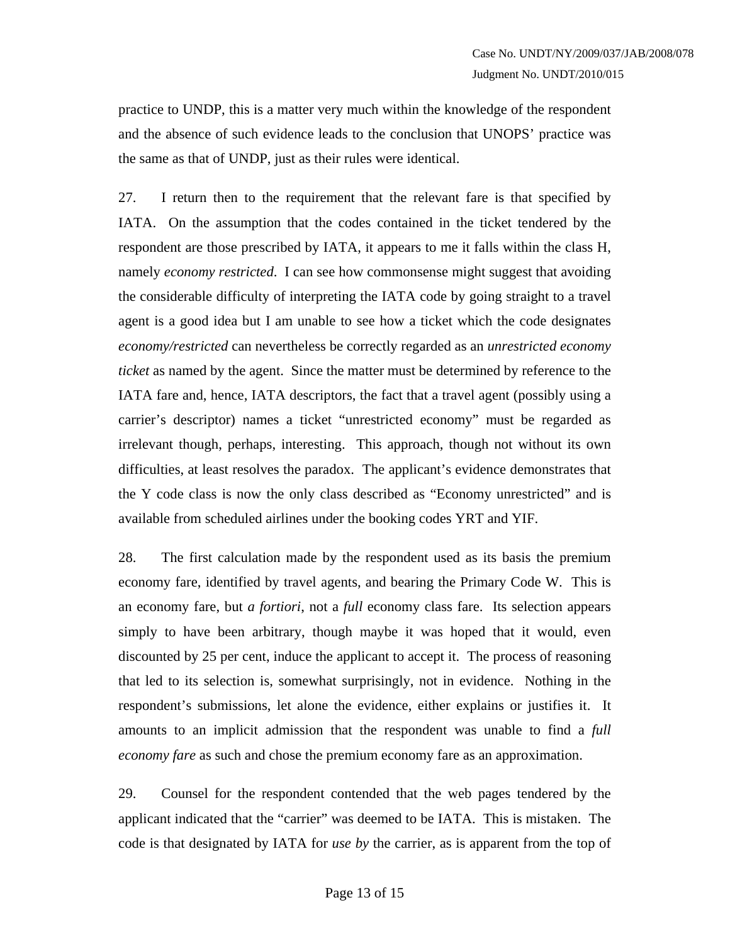practice to UNDP, this is a matter very much within the knowledge of the respondent and the absence of such evidence leads to the conclusion that UNOPS' practice was the same as that of UNDP, just as their rules were identical.

27. I return then to the requirement that the relevant fare is that specified by IATA. On the assumption that the codes contained in the ticket tendered by the respondent are those prescribed by IATA, it appears to me it falls within the class H, namely *economy restricted*. I can see how commonsense might suggest that avoiding the considerable difficulty of interpreting the IATA code by going straight to a travel agent is a good idea but I am unable to see how a ticket which the code designates *economy/restricted* can nevertheless be correctly regarded as an *unrestricted economy ticket* as named by the agent. Since the matter must be determined by reference to the IATA fare and, hence, IATA descriptors, the fact that a travel agent (possibly using a carrier's descriptor) names a ticket "unrestricted economy" must be regarded as irrelevant though, perhaps, interesting. This approach, though not without its own difficulties, at least resolves the paradox. The applicant's evidence demonstrates that the Y code class is now the only class described as "Economy unrestricted" and is available from scheduled airlines under the booking codes YRT and YIF.

28. The first calculation made by the respondent used as its basis the premium economy fare, identified by travel agents, and bearing the Primary Code W. This is an economy fare, but *a fortiori*, not a *full* economy class fare. Its selection appears simply to have been arbitrary, though maybe it was hoped that it would, even discounted by 25 per cent, induce the applicant to accept it. The process of reasoning that led to its selection is, somewhat surprisingly, not in evidence. Nothing in the respondent's submissions, let alone the evidence, either explains or justifies it. It amounts to an implicit admission that the respondent was unable to find a *full economy fare* as such and chose the premium economy fare as an approximation.

29. Counsel for the respondent contended that the web pages tendered by the applicant indicated that the "carrier" was deemed to be IATA. This is mistaken. The code is that designated by IATA for *use by* the carrier, as is apparent from the top of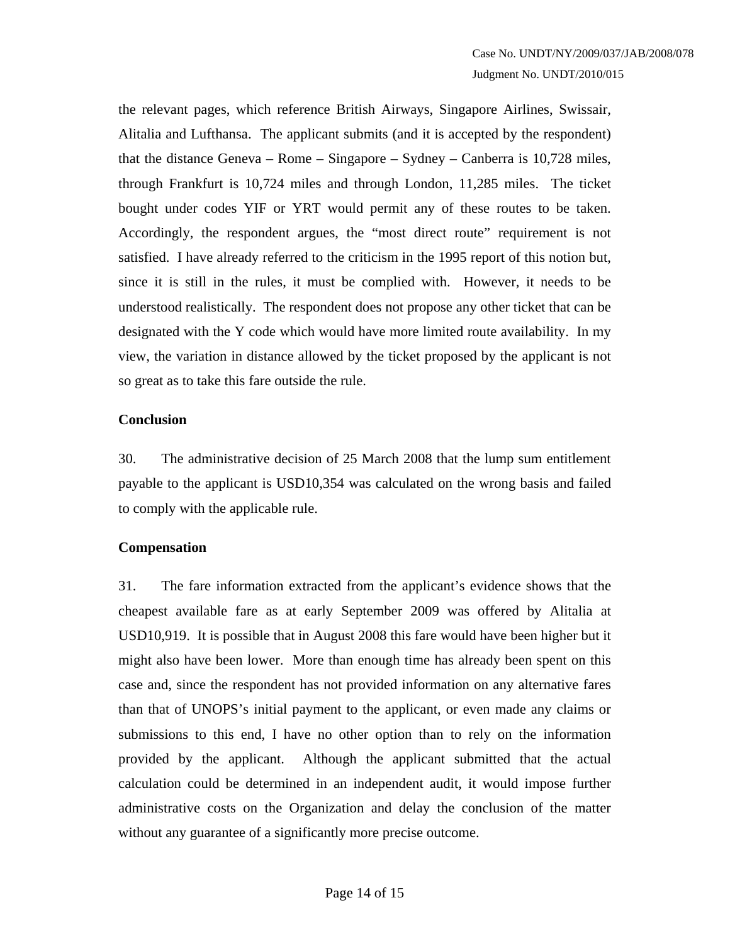the relevant pages, which reference British Airways, Singapore Airlines, Swissair, Alitalia and Lufthansa. The applicant submits (and it is accepted by the respondent) that the distance Geneva – Rome – Singapore – Sydney – Canberra is 10,728 miles, through Frankfurt is 10,724 miles and through London, 11,285 miles. The ticket bought under codes YIF or YRT would permit any of these routes to be taken. Accordingly, the respondent argues, the "most direct route" requirement is not satisfied. I have already referred to the criticism in the 1995 report of this notion but, since it is still in the rules, it must be complied with. However, it needs to be understood realistically. The respondent does not propose any other ticket that can be designated with the Y code which would have more limited route availability. In my view, the variation in distance allowed by the ticket proposed by the applicant is not so great as to take this fare outside the rule.

#### **Conclusion**

30. The administrative decision of 25 March 2008 that the lump sum entitlement payable to the applicant is USD10,354 was calculated on the wrong basis and failed to comply with the applicable rule.

# **Compensation**

31. The fare information extracted from the applicant's evidence shows that the cheapest available fare as at early September 2009 was offered by Alitalia at USD10,919. It is possible that in August 2008 this fare would have been higher but it might also have been lower. More than enough time has already been spent on this case and, since the respondent has not provided information on any alternative fares than that of UNOPS's initial payment to the applicant, or even made any claims or submissions to this end, I have no other option than to rely on the information provided by the applicant. Although the applicant submitted that the actual calculation could be determined in an independent audit, it would impose further administrative costs on the Organization and delay the conclusion of the matter without any guarantee of a significantly more precise outcome.